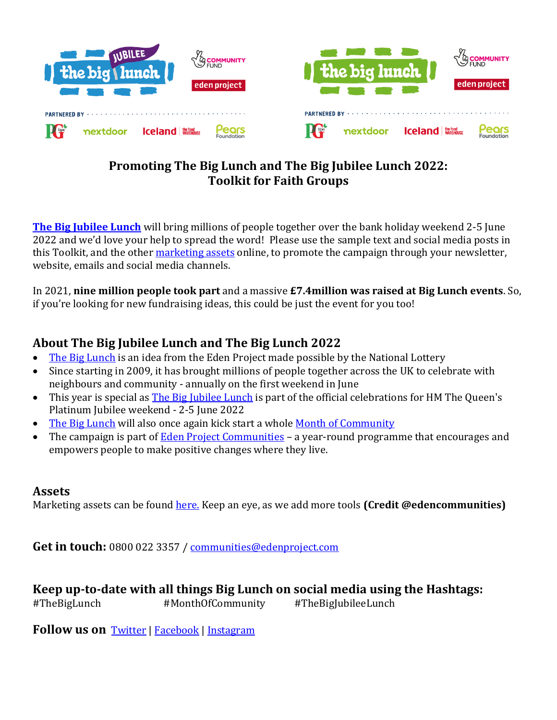

**[The Big Jubilee Lunch](https://www.edenprojectcommunities.com/the-big-jubilee-lunch)** will bring millions of people together over the bank holiday weekend 2-5 June 2022 and we'd love your help to spread the word! Please use the sample text and social media posts in this Toolkit, and the other [marketing assets](https://www.edenprojectcommunities.com/shareable-media) online, to promote the campaign through your newsletter, website, emails and social media channels.

In 2021, **nine million people took part** and a massive **£7.4million was raised at Big Lunch events**. So, if you're looking for new fundraising ideas, this could be just the event for you too!

# **About The Big Jubilee Lunch and The Big Lunch 2022**

- [The Big Lunch](https://www.edenprojectcommunities.com/the-big-lunch) is an idea from the Eden Project made possible by the National Lottery
- Since starting in 2009, it has brought millions of people together across the UK to celebrate with neighbours and community - annually on the first weekend in June
- This year is special as [The Big Jubilee Lunch](https://www.edenprojectcommunities.com/the-big-jubilee-lunch) is part of the official celebrations for HM The Queen's Platinum Jubilee weekend - 2-5 June 2022
- [The Big Lunch](https://www.edenprojectcommunities.com/the-big-lunch) will also once again kick start a whole [Month of Community](https://www.edenprojectcommunities.com/month-of-community)
- The campaign is part of [Eden Project Communities](https://www.edenprojectcommunities.com/) a year-round programme that encourages and empowers people to make positive changes where they live.

### **Assets**

Marketing assets can be found **[here.](https://www.edenprojectcommunities.com/shareable-media)** Keep an eye, as we add more tools **(Credit @edencommunities)** 

**Get in touch:** 0800 022 3357 / [communities@edenproject.com](mailto:communities@edenproject.com)

**Keep up-to-date with all things Big Lunch on social media using the Hashtags:** #TheBigLunch #MonthOfCommunity #TheBigJubileeLunch

**Follow us on** [Twitter](https://twitter.com/EdenCommunities) | [Facebook](https://www.facebook.com/edencommunities/) | [Instagram](https://www.instagram.com/EdenCommunities/)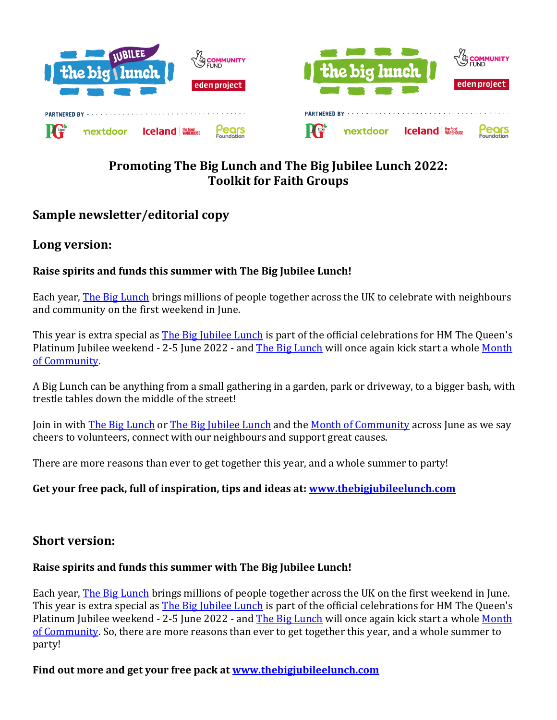

## **Sample newsletter/editorial copy**

## **Long version:**

### **Raise spirits and funds this summer with The Big Jubilee Lunch!**

Each year, [The Big Lunch](https://www.edenprojectcommunities.com/the-big-lunch) brings millions of people together across the UK to celebrate with neighbours and community on the first weekend in June.

This year is extra special as [The Big Jubilee Lunch](https://www.edenprojectcommunities.com/the-big-jubilee-lunch) is part of the official celebrations for HM The Queen's Platinum Jubilee weekend - 2-5 June 2022 - and [The Big Lunch](https://www.edenprojectcommunities.com/the-big-lunch) will once again kick start a whole Month [of Community.](https://www.edenprojectcommunities.com/month-of-community) 

A Big Lunch can be anything from a small gathering in a garden, park or driveway, to a bigger bash, with trestle tables down the middle of the street!

Join in with [The Big Lunch](https://www.edenprojectcommunities.com/the-big-lunch) or [The Big Jubilee Lunch](https://www.edenprojectcommunities.com/the-big-jubilee-lunch) and the [Month of Community](https://www.edenprojectcommunities.com/month-of-community) across June as we say cheers to volunteers, connect with our neighbours and support great causes.

There are more reasons than ever to get together this year, and a whole summer to party!

### **Get your free pack, full of inspiration, tips and ideas at[: www.thebigjubileelunch.com](http://www.thebigjubileelunch.com/)**

### **Short version:**

### **Raise spirits and funds this summer with The Big Jubilee Lunch!**

Each year, [The Big Lunch](https://www.edenprojectcommunities.com/the-big-lunch) brings millions of people together across the UK on the first weekend in June. This year is extra special as [The Big Jubilee Lunch](https://www.edenprojectcommunities.com/the-big-jubilee-lunch) is part of the official celebrations for HM The Queen's Platinum Jubilee weekend - 2-5 June 2022 - and [The Big Lunch](https://www.edenprojectcommunities.com/the-big-lunch) will once again kick start a whole Month [of Community.](https://www.edenprojectcommunities.com/month-of-community) So, there are more reasons than ever to get together this year, and a whole summer to party!

### **Find out more and get your free pack at [www.thebigjubileelunch.com](http://www.thebigjubileelunch.com/)**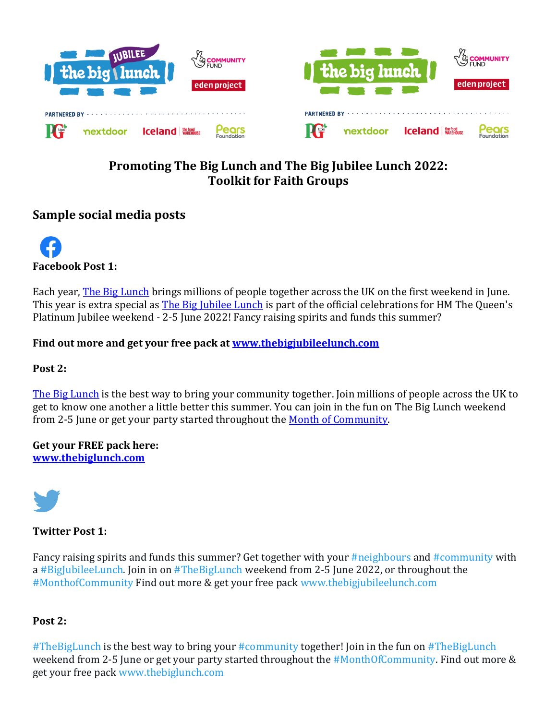

## **Sample social media posts**

**Facebook Post 1:** 

Each year, [The Big Lunch](https://www.edenprojectcommunities.com/the-big-lunch) brings millions of people together across the UK on the first weekend in June. This year is extra special as [The Big Jubilee Lunch](https://www.edenprojectcommunities.com/the-big-jubilee-lunch) is part of the official celebrations for HM The Queen's Platinum Jubilee weekend - 2-5 June 2022! Fancy raising spirits and funds this summer?

**Find out more and get your free pack at [www.thebigjubileelunch.com](http://www.thebigjubileelunch.com/)**

**Post 2:** 

[The Big Lunch](https://www.edenprojectcommunities.com/the-big-lunch) is the best way to bring your community together. Join millions of people across the UK to get to know one another a little better this summer. You can join in the fun on The Big Lunch weekend from 2-5 June or get your party started throughout the [Month of Community.](https://www.edenprojectcommunities.com/month-of-community) 

**Get your FREE pack here: [www.thebiglunch.com](http://www.thebiglunch.com/)**



**Twitter Post 1:** 

Fancy raising spirits and funds this summer? Get together with your #neighbours and #community with a #BigJubileeLunch. Join in on #TheBigLunch weekend from 2-5 June 2022, or throughout the #MonthofCommunity Find out more & get your free pack www.thebigjubileelunch.com

### **Post 2:**

#TheBigLunch is the best way to bring your #community together! Join in the fun on #TheBigLunch weekend from 2-5 June or get your party started throughout the #MonthOfCommunity. Find out more & get your free pack www.thebiglunch.com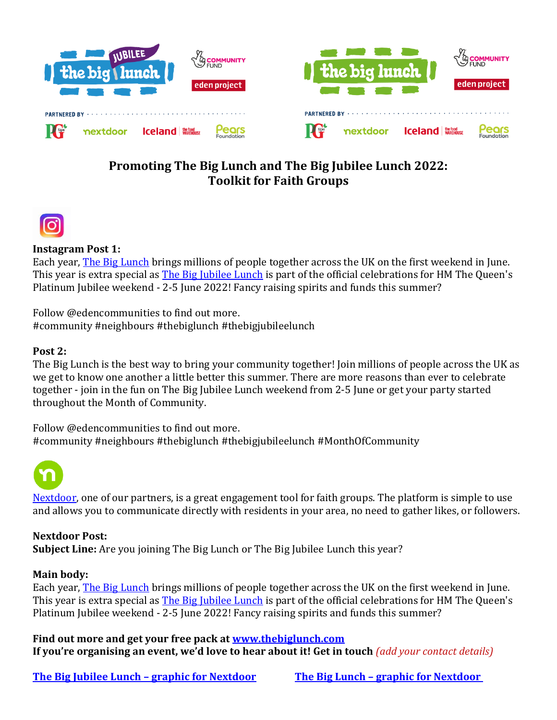



### **Instagram Post 1:**

Each year, [The Big Lunch](https://www.edenprojectcommunities.com/the-big-lunch) brings millions of people together across the UK on the first weekend in June. This year is extra special as **The Big Jubilee Lunch** is part of the official celebrations for HM The Queen's Platinum Jubilee weekend - 2-5 June 2022! Fancy raising spirits and funds this summer?

Follow @edencommunities to find out more. #community #neighbours #thebiglunch #thebigjubileelunch

### **Post 2:**

The Big Lunch is the best way to bring your community together! Join millions of people across the UK as we get to know one another a little better this summer. There are more reasons than ever to celebrate together - join in the fun on The Big Jubilee Lunch weekend from 2-5 June or get your party started throughout the Month of Community.

Follow @edencommunities to find out more. #community #neighbours #thebiglunch #thebigjubileelunch #MonthOfCommunity



[Nextdoor,](https://nextdoor.co.uk/) one of our partners, is a great engagement tool for faith groups. The platform is simple to use and allows you to communicate directly with residents in your area, no need to gather likes, or followers.

#### **Nextdoor Post:**

**Subject Line:** Are you joining The Big Lunch or The Big Jubilee Lunch this year?

#### **Main body:**

Each year, **The Big Lunch** brings millions of people together across the UK on the first weekend in June. This year is extra special as **The Big Jubilee Lunch** is part of the official celebrations for HM The Queen's Platinum Jubilee weekend - 2-5 June 2022! Fancy raising spirits and funds this summer?

**Find out more and get your free pack at [www.thebiglunch.com](http://www.thebiglunch.com/) If you're organising an event, we'd love to hear about it! Get in touch** *(add your contact details)*

**[The Big Jubilee Lunch](https://www.edenprojectcommunities.com/files/tbjlgraphicfornextdoorpng) – graphic for Nextdoor The Big Lunch – [graphic for Nextdoor](https://www.edenprojectcommunities.com/files/tblgraphicfornextdoorpng)**